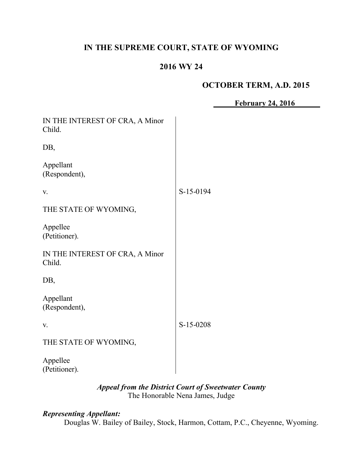# **IN THE SUPREME COURT, STATE OF WYOMING**

# **2016 WY 24**

# **OCTOBER TERM, A.D. 2015**

**February 24, 2016**

| IN THE INTEREST OF CRA, A Minor<br>Child. |           |
|-------------------------------------------|-----------|
| DB,                                       |           |
| Appellant<br>(Respondent),                |           |
| V.                                        | S-15-0194 |
| THE STATE OF WYOMING,                     |           |
| Appellee<br>(Petitioner).                 |           |
| IN THE INTEREST OF CRA, A Minor<br>Child. |           |
| DB,                                       |           |
| Appellant<br>(Respondent),                |           |
| V.                                        | S-15-0208 |
| THE STATE OF WYOMING,                     |           |
| Appellee<br>(Petitioner).                 |           |

# *Appeal from the District Court of Sweetwater County* The Honorable Nena James, Judge

# *Representing Appellant:*

Douglas W. Bailey of Bailey, Stock, Harmon, Cottam, P.C., Cheyenne, Wyoming.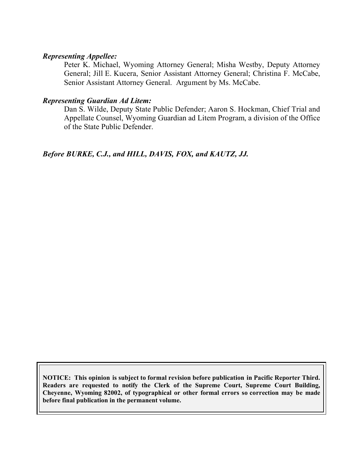#### *Representing Appellee:*

Peter K. Michael, Wyoming Attorney General; Misha Westby, Deputy Attorney General; Jill E. Kucera, Senior Assistant Attorney General; Christina F. McCabe, Senior Assistant Attorney General. Argument by Ms. McCabe.

### *Representing Guardian Ad Litem:*

Dan S. Wilde, Deputy State Public Defender; Aaron S. Hockman, Chief Trial and Appellate Counsel, Wyoming Guardian ad Litem Program, a division of the Office of the State Public Defender.

# *Before BURKE, C.J., and HILL, DAVIS, FOX, and KAUTZ, JJ.*

**NOTICE: This opinion is subject to formal revision before publication in Pacific Reporter Third. Readers are requested to notify the Clerk of the Supreme Court, Supreme Court Building, Cheyenne, Wyoming 82002, of typographical or other formal errors so correction may be made before final publication in the permanent volume.**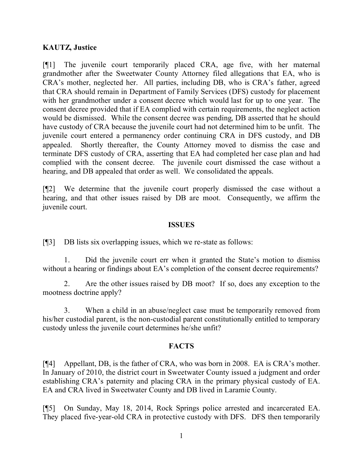# **KAUTZ, Justice**

[¶1] The juvenile court temporarily placed CRA, age five, with her maternal grandmother after the Sweetwater County Attorney filed allegations that EA, who is CRA's mother, neglected her. All parties, including DB, who is CRA's father, agreed that CRA should remain in Department of Family Services (DFS) custody for placement with her grandmother under a consent decree which would last for up to one year. The consent decree provided that if EA complied with certain requirements, the neglect action would be dismissed. While the consent decree was pending, DB asserted that he should have custody of CRA because the juvenile court had not determined him to be unfit. The juvenile court entered a permanency order continuing CRA in DFS custody, and DB appealed. Shortly thereafter, the County Attorney moved to dismiss the case and terminate DFS custody of CRA, asserting that EA had completed her case plan and had complied with the consent decree. The juvenile court dismissed the case without a hearing, and DB appealed that order as well. We consolidated the appeals.

[¶2] We determine that the juvenile court properly dismissed the case without a hearing, and that other issues raised by DB are moot. Consequently, we affirm the juvenile court.

#### **ISSUES**

[¶3] DB lists six overlapping issues, which we re-state as follows:

1. Did the juvenile court err when it granted the State's motion to dismiss without a hearing or findings about EA's completion of the consent decree requirements?

2. Are the other issues raised by DB moot? If so, does any exception to the mootness doctrine apply?

3. When a child in an abuse/neglect case must be temporarily removed from his/her custodial parent, is the non-custodial parent constitutionally entitled to temporary custody unless the juvenile court determines he/she unfit?

#### **FACTS**

[¶4] Appellant, DB, is the father of CRA, who was born in 2008. EA is CRA's mother. In January of 2010, the district court in Sweetwater County issued a judgment and order establishing CRA's paternity and placing CRA in the primary physical custody of EA. EA and CRA lived in Sweetwater County and DB lived in Laramie County.

[¶5] On Sunday, May 18, 2014, Rock Springs police arrested and incarcerated EA. They placed five-year-old CRA in protective custody with DFS. DFS then temporarily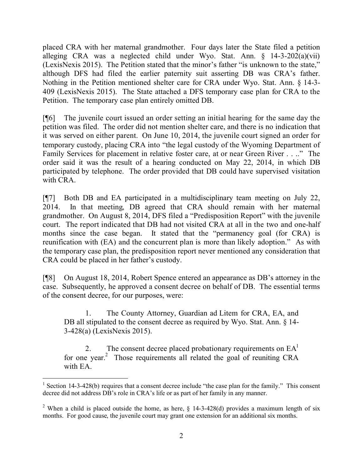placed CRA with her maternal grandmother. Four days later the State filed a petition alleging CRA was a neglected child under Wyo. Stat. Ann. § 14-3-202(a)(vii) (LexisNexis 2015). The Petition stated that the minor's father "is unknown to the state," although DFS had filed the earlier paternity suit asserting DB was CRA's father. Nothing in the Petition mentioned shelter care for CRA under Wyo. Stat. Ann. § 14-3- 409 (LexisNexis 2015). The State attached a DFS temporary case plan for CRA to the Petition. The temporary case plan entirely omitted DB.

[¶6] The juvenile court issued an order setting an initial hearing for the same day the petition was filed. The order did not mention shelter care, and there is no indication that it was served on either parent. On June 10, 2014, the juvenile court signed an order for temporary custody, placing CRA into "the legal custody of the Wyoming Department of Family Services for placement in relative foster care, at or near Green River . . .." The order said it was the result of a hearing conducted on May 22, 2014, in which DB participated by telephone. The order provided that DB could have supervised visitation with CRA.

[¶7] Both DB and EA participated in a multidisciplinary team meeting on July 22, 2014. In that meeting, DB agreed that CRA should remain with her maternal grandmother. On August 8, 2014, DFS filed a "Predisposition Report" with the juvenile court. The report indicated that DB had not visited CRA at all in the two and one-half months since the case began. It stated that the "permanency goal (for CRA) is reunification with (EA) and the concurrent plan is more than likely adoption." As with the temporary case plan, the predisposition report never mentioned any consideration that CRA could be placed in her father's custody.

[¶8] On August 18, 2014, Robert Spence entered an appearance as DB's attorney in the case. Subsequently, he approved a consent decree on behalf of DB. The essential terms of the consent decree, for our purposes, were:

1. The County Attorney, Guardian ad Litem for CRA, EA, and DB all stipulated to the consent decree as required by Wyo. Stat. Ann. § 14-3-428(a) (LexisNexis 2015).

The consent decree placed probationary requirements on  $EA<sup>1</sup>$ for one year.<sup>2</sup> Those requirements all related the goal of reuniting CRA with EA.

 $\overline{a}$ <sup>1</sup> Section 14-3-428(b) requires that a consent decree include "the case plan for the family." This consent decree did not address DB's role in CRA's life or as part of her family in any manner.

<sup>&</sup>lt;sup>2</sup> When a child is placed outside the home, as here,  $\S$  14-3-428(d) provides a maximum length of six months. For good cause, the juvenile court may grant one extension for an additional six months.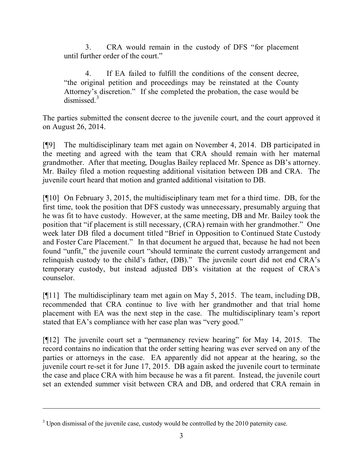3. CRA would remain in the custody of DFS "for placement until further order of the court."

If EA failed to fulfill the conditions of the consent decree, "the original petition and proceedings may be reinstated at the County Attorney's discretion." If she completed the probation, the case would be dismissed $<sup>3</sup>$ </sup>

The parties submitted the consent decree to the juvenile court, and the court approved it on August 26, 2014.

[¶9] The multidisciplinary team met again on November 4, 2014. DB participated in the meeting and agreed with the team that CRA should remain with her maternal grandmother. After that meeting, Douglas Bailey replaced Mr. Spence as DB's attorney. Mr. Bailey filed a motion requesting additional visitation between DB and CRA. The juvenile court heard that motion and granted additional visitation to DB.

[¶10] On February 3, 2015, the multidisciplinary team met for a third time. DB, for the first time, took the position that DFS custody was unnecessary, presumably arguing that he was fit to have custody. However, at the same meeting, DB and Mr. Bailey took the position that "if placement is still necessary, (CRA) remain with her grandmother." One week later DB filed a document titled "Brief in Opposition to Continued State Custody and Foster Care Placement." In that document he argued that, because he had not been found "unfit," the juvenile court "should terminate the current custody arrangement and relinquish custody to the child's father, (DB)." The juvenile court did not end CRA's temporary custody, but instead adjusted DB's visitation at the request of CRA's counselor.

[¶11] The multidisciplinary team met again on May 5, 2015. The team, including DB, recommended that CRA continue to live with her grandmother and that trial home placement with EA was the next step in the case. The multidisciplinary team's report stated that EA's compliance with her case plan was "very good."

[¶12] The juvenile court set a "permanency review hearing" for May 14, 2015. The record contains no indication that the order setting hearing was ever served on any of the parties or attorneys in the case. EA apparently did not appear at the hearing, so the juvenile court re-set it for June 17, 2015. DB again asked the juvenile court to terminate the case and place CRA with him because he was a fit parent. Instead, the juvenile court set an extended summer visit between CRA and DB, and ordered that CRA remain in

<sup>&</sup>lt;sup>3</sup> Upon dismissal of the juvenile case, custody would be controlled by the 2010 paternity case.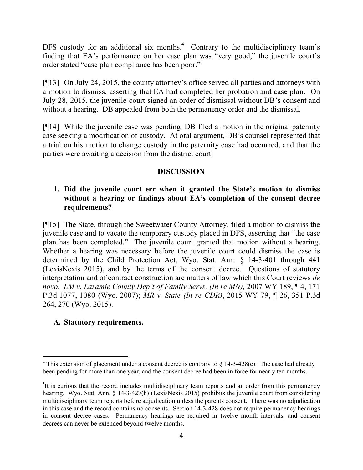DFS custody for an additional six months.<sup>4</sup> Contrary to the multidisciplinary team's finding that EA's performance on her case plan was "very good," the juvenile court's order stated "case plan compliance has been poor."<sup>5</sup>

[¶13] On July 24, 2015, the county attorney's office served all parties and attorneys with a motion to dismiss, asserting that EA had completed her probation and case plan. On July 28, 2015, the juvenile court signed an order of dismissal without DB's consent and without a hearing. DB appealed from both the permanency order and the dismissal.

[¶14] While the juvenile case was pending, DB filed a motion in the original paternity case seeking a modification of custody. At oral argument, DB's counsel represented that a trial on his motion to change custody in the paternity case had occurred, and that the parties were awaiting a decision from the district court.

# **DISCUSSION**

# **1. Did the juvenile court err when it granted the State's motion to dismiss without a hearing or findings about EA's completion of the consent decree requirements?**

[¶15] The State, through the Sweetwater County Attorney, filed a motion to dismiss the juvenile case and to vacate the temporary custody placed in DFS, asserting that "the case plan has been completed." The juvenile court granted that motion without a hearing. Whether a hearing was necessary before the juvenile court could dismiss the case is determined by the Child Protection Act, Wyo. Stat. Ann. § 14-3-401 through 441 (LexisNexis 2015), and by the terms of the consent decree. Questions of statutory interpretation and of contract construction are matters of law which this Court reviews *de novo*. *LM v. Laramie County Dep't of Family Servs. (In re MN),* 2007 WY 189, ¶ 4, 171 P.3d 1077, 1080 (Wyo. 2007); *MR v. State (In re CDR)*, 2015 WY 79, ¶ 26, 351 P.3d 264, 270 (Wyo. 2015).

# **A. Statutory requirements.**

<sup>&</sup>lt;sup>4</sup> This extension of placement under a consent decree is contrary to  $\frac{1}{2}$  14-3-428(c). The case had already been pending for more than one year, and the consent decree had been in force for nearly ten months.

<sup>&</sup>lt;sup>5</sup>It is curious that the record includes multidisciplinary team reports and an order from this permanency hearing. Wyo. Stat. Ann. § 14-3-427(h) (LexisNexis 2015) prohibits the juvenile court from considering multidisciplinary team reports before adjudication unless the parents consent. There was no adjudication in this case and the record contains no consents. Section 14-3-428 does not require permanency hearings in consent decree cases. Permanency hearings are required in twelve month intervals, and consent decrees can never be extended beyond twelve months.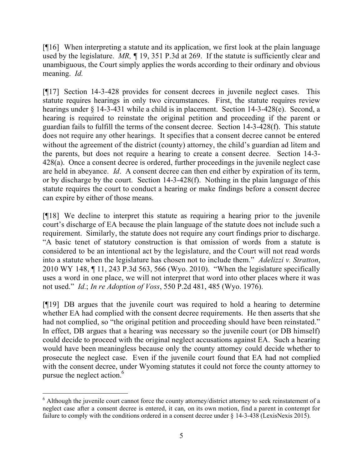[¶16] When interpreting a statute and its application, we first look at the plain language used by the legislature. *MR, ¶* 19, 351 P.3d at 269. If the statute is sufficiently clear and unambiguous, the Court simply applies the words according to their ordinary and obvious meaning. *Id.*

[¶17] Section 14-3-428 provides for consent decrees in juvenile neglect cases. This statute requires hearings in only two circumstances. First, the statute requires review hearings under § 14-3-431 while a child is in placement. Section 14-3-428(e). Second, a hearing is required to reinstate the original petition and proceeding if the parent or guardian fails to fulfill the terms of the consent decree. Section 14-3-428(f). This statute does not require any other hearings. It specifies that a consent decree cannot be entered without the agreement of the district (county) attorney, the child's guardian ad litem and the parents, but does not require a hearing to create a consent decree. Section 14-3- 428(a). Once a consent decree is ordered, further proceedings in the juvenile neglect case are held in abeyance. *Id*. A consent decree can then end either by expiration of its term, or by discharge by the court. Section 14-3-428(f). Nothing in the plain language of this statute requires the court to conduct a hearing or make findings before a consent decree can expire by either of those means.

[¶18] We decline to interpret this statute as requiring a hearing prior to the juvenile court's discharge of EA because the plain language of the statute does not include such a requirement. Similarly, the statute does not require any court findings prior to discharge. "A basic tenet of statutory construction is that omission of words from a statute is considered to be an intentional act by the legislature, and the Court will not read words into a statute when the legislature has chosen not to include them." *Adelizzi v. Stratton*, 2010 WY 148, ¶ 11, 243 P.3d 563, 566 (Wyo. 2010). "When the legislature specifically uses a word in one place, we will not interpret that word into other places where it was not used." *Id.*; *In re Adoption of Voss*, 550 P.2d 481, 485 (Wyo. 1976).

[¶19] DB argues that the juvenile court was required to hold a hearing to determine whether EA had complied with the consent decree requirements. He then asserts that she had not complied, so "the original petition and proceeding should have been reinstated." In effect, DB argues that a hearing was necessary so the juvenile court (or DB himself) could decide to proceed with the original neglect accusations against EA. Such a hearing would have been meaningless because only the county attorney could decide whether to prosecute the neglect case. Even if the juvenile court found that EA had not complied with the consent decree, under Wyoming statutes it could not force the county attorney to pursue the neglect action.<sup>6</sup>

 $\overline{a}$ 

<sup>&</sup>lt;sup>6</sup> Although the juvenile court cannot force the county attorney/district attorney to seek reinstatement of a neglect case after a consent decree is entered, it can, on its own motion, find a parent in contempt for failure to comply with the conditions ordered in a consent decree under  $\S$  14-3-438 (LexisNexis 2015).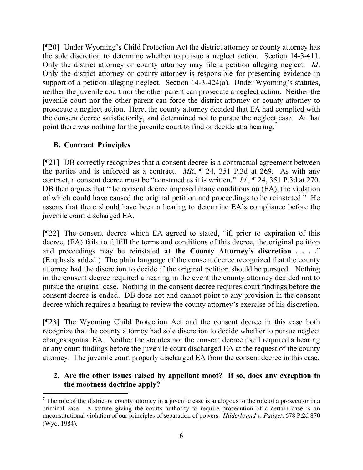[¶20] Under Wyoming's Child Protection Act the district attorney or county attorney has the sole discretion to determine whether to pursue a neglect action. Section 14-3-411. Only the district attorney or county attorney may file a petition alleging neglect. *Id*. Only the district attorney or county attorney is responsible for presenting evidence in support of a petition alleging neglect. Section 14-3-424(a). Under Wyoming's statutes, neither the juvenile court nor the other parent can prosecute a neglect action. Neither the juvenile court nor the other parent can force the district attorney or county attorney to prosecute a neglect action. Here, the county attorney decided that EA had complied with the consent decree satisfactorily, and determined not to pursue the neglect case. At that point there was nothing for the juvenile court to find or decide at a hearing.<sup>7</sup>

# **B. Contract Principles**

[¶21] DB correctly recognizes that a consent decree is a contractual agreement between the parties and is enforced as a contract. *MR*, ¶ 24, 351 P.3d at 269. As with any contract, a consent decree must be "construed as it is written." *Id.,* ¶ 24, 351 P.3d at 270. DB then argues that "the consent decree imposed many conditions on  $(EA)$ , the violation of which could have caused the original petition and proceedings to be reinstated." He asserts that there should have been a hearing to determine EA's compliance before the juvenile court discharged EA.

[¶22] The consent decree which EA agreed to stated, "if, prior to expiration of this decree, (EA) fails to fulfill the terms and conditions of this decree, the original petition and proceedings may be reinstated **at the County Attorney's discretion . . . .**" (Emphasis added.) The plain language of the consent decree recognized that the county attorney had the discretion to decide if the original petition should be pursued. Nothing in the consent decree required a hearing in the event the county attorney decided not to pursue the original case. Nothing in the consent decree requires court findings before the consent decree is ended. DB does not and cannot point to any provision in the consent decree which requires a hearing to review the county attorney's exercise of his discretion.

[¶23] The Wyoming Child Protection Act and the consent decree in this case both recognize that the county attorney had sole discretion to decide whether to pursue neglect charges against EA. Neither the statutes nor the consent decree itself required a hearing or any court findings before the juvenile court discharged EA at the request of the county attorney. The juvenile court properly discharged EA from the consent decree in this case.

# **2. Are the other issues raised by appellant moot? If so, does any exception to the mootness doctrine apply?**

 $\overline{a}$  $<sup>7</sup>$  The role of the district or county attorney in a juvenile case is analogous to the role of a prosecutor in a</sup> criminal case. A statute giving the courts authority to require prosecution of a certain case is an unconstitutional violation of our principles of separation of powers. *Hilderbrand v. Padget*, 678 P.2d 870 (Wyo. 1984).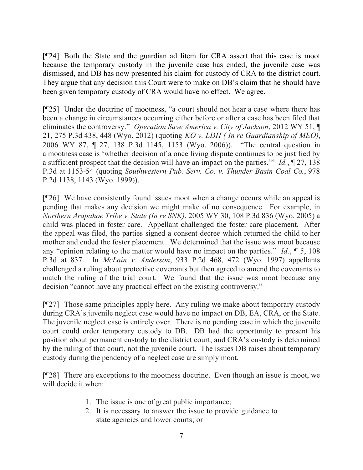[¶24] Both the State and the guardian ad litem for CRA assert that this case is moot because the temporary custody in the juvenile case has ended, the juvenile case was dismissed, and DB has now presented his claim for custody of CRA to the district court. They argue that any decision this Court were to make on DB's claim that he should have been given temporary custody of CRA would have no effect. We agree.

[¶25] Under the doctrine of mootness, "a court should not hear a case where there has been a change in circumstances occurring either before or after a case has been filed that eliminates the controversy." *Operation Save America v. City of Jackson*, 2012 WY 51, ¶ 21, 275 P.3d 438, 448 (Wyo. 2012) (quoting *KO v. LDH ( In re Guardianship of MEO)*, 2006 WY 87, ¶ 27, 138 P.3d 1145, 1153 (Wyo. 2006)). "The central question in a mootness case is 'whether decision of a once living dispute continues to be justified by a sufficient prospect that the decision will have an impact on the parties.'" *Id.*, ¶ 27, 138 P.3d at 1153-54 (quoting *Southwestern Pub. Serv. Co. v. Thunder Basin Coal Co.*, 978 P.2d 1138, 1143 (Wyo. 1999)).

[¶26] We have consistently found issues moot when a change occurs while an appeal is pending that makes any decision we might make of no consequence. For example, in *Northern Arapahoe Tribe v. State (In re SNK)*, 2005 WY 30, 108 P.3d 836 (Wyo. 2005) a child was placed in foster care. Appellant challenged the foster care placement. After the appeal was filed, the parties signed a consent decree which returned the child to her mother and ended the foster placement. We determined that the issue was moot because any "opinion relating to the matter would have no impact on the parties." *Id.*, ¶ 5, 108 P.3d at 837. In *McLain v. Anderson*, 933 P.2d 468, 472 (Wyo. 1997) appellants challenged a ruling about protective covenants but then agreed to amend the covenants to match the ruling of the trial court. We found that the issue was moot because any decision "cannot have any practical effect on the existing controversy."

[¶27] Those same principles apply here. Any ruling we make about temporary custody during CRA's juvenile neglect case would have no impact on DB, EA, CRA, or the State. The juvenile neglect case is entirely over. There is no pending case in which the juvenile court could order temporary custody to DB. DB had the opportunity to present his position about permanent custody to the district court, and CRA's custody is determined by the ruling of that court, not the juvenile court. The issues DB raises about temporary custody during the pendency of a neglect case are simply moot.

[¶28] There are exceptions to the mootness doctrine. Even though an issue is moot, we will decide it when:

- 1. The issue is one of great public importance;
- 2. It is necessary to answer the issue to provide guidance to state agencies and lower courts; or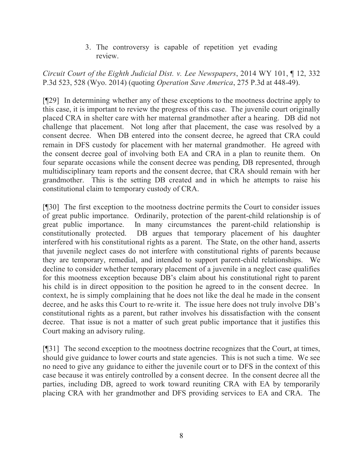3. The controversy is capable of repetition yet evading review.

*Circuit Court of the Eighth Judicial Dist. v. Lee Newspapers*, 2014 WY 101, ¶ 12, 332 P.3d 523, 528 (Wyo. 2014) (quoting *Operation Save America*, 275 P.3d at 448-49).

[¶29] In determining whether any of these exceptions to the mootness doctrine apply to this case, it is important to review the progress of this case. The juvenile court originally placed CRA in shelter care with her maternal grandmother after a hearing. DB did not challenge that placement. Not long after that placement, the case was resolved by a consent decree. When DB entered into the consent decree, he agreed that CRA could remain in DFS custody for placement with her maternal grandmother. He agreed with the consent decree goal of involving both EA and CRA in a plan to reunite them. On four separate occasions while the consent decree was pending, DB represented, through multidisciplinary team reports and the consent decree, that CRA should remain with her grandmother. This is the setting DB created and in which he attempts to raise his constitutional claim to temporary custody of CRA.

[¶30] The first exception to the mootness doctrine permits the Court to consider issues of great public importance. Ordinarily, protection of the parent-child relationship is of great public importance. In many circumstances the parent-child relationship is constitutionally protected. DB argues that temporary placement of his daughter interfered with his constitutional rights as a parent. The State, on the other hand, asserts that juvenile neglect cases do not interfere with constitutional rights of parents because they are temporary, remedial, and intended to support parent-child relationships. We decline to consider whether temporary placement of a juvenile in a neglect case qualifies for this mootness exception because DB's claim about his constitutional right to parent his child is in direct opposition to the position he agreed to in the consent decree. In context, he is simply complaining that he does not like the deal he made in the consent decree, and he asks this Court to re-write it. The issue here does not truly involve DB's constitutional rights as a parent, but rather involves his dissatisfaction with the consent decree. That issue is not a matter of such great public importance that it justifies this Court making an advisory ruling.

[¶31] The second exception to the mootness doctrine recognizes that the Court, at times, should give guidance to lower courts and state agencies. This is not such a time. We see no need to give any guidance to either the juvenile court or to DFS in the context of this case because it was entirely controlled by a consent decree. In the consent decree all the parties, including DB, agreed to work toward reuniting CRA with EA by temporarily placing CRA with her grandmother and DFS providing services to EA and CRA. The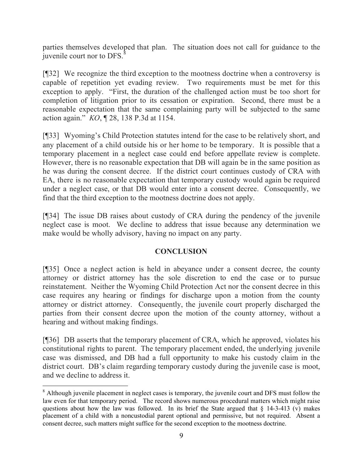parties themselves developed that plan. The situation does not call for guidance to the  $\frac{1}{2}$  juvenile court nor to DFS.<sup>8</sup>

[¶32] We recognize the third exception to the mootness doctrine when a controversy is capable of repetition yet evading review. Two requirements must be met for this exception to apply. "First, the duration of the challenged action must be too short for completion of litigation prior to its cessation or expiration. Second, there must be a reasonable expectation that the same complaining party will be subjected to the same action again." *KO*, ¶ 28, 138 P.3d at 1154.

[¶33] Wyoming's Child Protection statutes intend for the case to be relatively short, and any placement of a child outside his or her home to be temporary. It is possible that a temporary placement in a neglect case could end before appellate review is complete. However, there is no reasonable expectation that DB will again be in the same position as he was during the consent decree. If the district court continues custody of CRA with EA, there is no reasonable expectation that temporary custody would again be required under a neglect case, or that DB would enter into a consent decree. Consequently, we find that the third exception to the mootness doctrine does not apply.

[¶34] The issue DB raises about custody of CRA during the pendency of the juvenile neglect case is moot. We decline to address that issue because any determination we make would be wholly advisory, having no impact on any party.

# **CONCLUSION**

[¶35] Once a neglect action is held in abeyance under a consent decree, the county attorney or district attorney has the sole discretion to end the case or to pursue reinstatement. Neither the Wyoming Child Protection Act nor the consent decree in this case requires any hearing or findings for discharge upon a motion from the county attorney or district attorney. Consequently, the juvenile court properly discharged the parties from their consent decree upon the motion of the county attorney, without a hearing and without making findings.

[¶36] DB asserts that the temporary placement of CRA, which he approved, violates his constitutional rights to parent. The temporary placement ended, the underlying juvenile case was dismissed, and DB had a full opportunity to make his custody claim in the district court. DB's claim regarding temporary custody during the juvenile case is moot, and we decline to address it.

<sup>&</sup>lt;sup>8</sup> Although juvenile placement in neglect cases is temporary, the juvenile court and DFS must follow the law even for that temporary period. The record shows numerous procedural matters which might raise questions about how the law was followed. In its brief the State argued that  $\S$  14-3-413 (v) makes placement of a child with a noncustodial parent optional and permissive, but not required. Absent a consent decree, such matters might suffice for the second exception to the mootness doctrine.